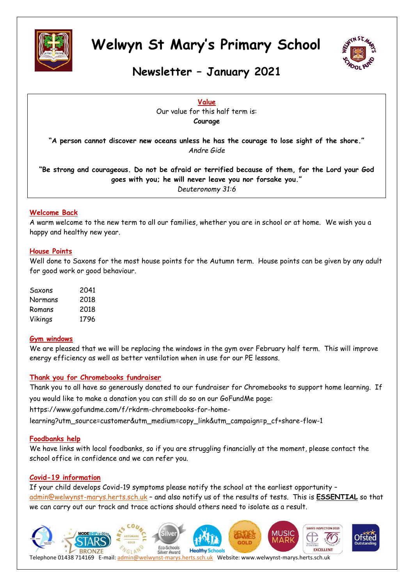



### **Newsletter – January 2021**

**Value** Our value for this half term is: **Courage**

**"A person cannot discover new oceans unless he has the courage to lose sight of the shore."** *Andre Gide*

**"Be strong and courageous. Do not be afraid or terrified because of them, for the Lord your God goes with you; he will never leave you nor forsake you."** *Deuteronomy 31:6*

#### **Welcome Back**

A warm welcome to the new term to all our families, whether you are in school or at home. We wish you a happy and healthy new year.

#### **House Points**

Well done to Saxons for the most house points for the Autumn term. House points can be given by any adult for good work or good behaviour.

| Saxons  | 2041 |
|---------|------|
| Normans | 2018 |
| Romans  | 2018 |
| Vikings | 1796 |

#### **Gym windows**

We are pleased that we will be replacing the windows in the gym over February half term. This will improve energy efficiency as well as better ventilation when in use for our PE lessons.

#### **Thank you for Chromebooks fundraiser**

Thank you to all have so generously donated to our fundraiser for Chromebooks to support home learning. If you would like to make a donation you can still do so on our GoFundMe page:

[https://www.gofundme.com/f/rkdrm-chromebooks-for-home-](https://www.gofundme.com/f/rkdrm-chromebooks-for-home-learning?utm_source=customer&utm_medium=copy_link&utm_campaign=p_cf+share-flow-1)

[learning?utm\\_source=customer&utm\\_medium=copy\\_link&utm\\_campaign=p\\_cf+share-flow-1](https://www.gofundme.com/f/rkdrm-chromebooks-for-home-learning?utm_source=customer&utm_medium=copy_link&utm_campaign=p_cf+share-flow-1)

#### **Foodbanks help**

We have links with local foodbanks, so if you are struggling financially at the moment, please contact the school office in confidence and we can refer you.

#### **Covid-19 information**

If your child develops Covid-19 symptoms please notify the school at the earliest opportunity – [admin@welwynst-marys.herts.sch.uk](mailto:admin@welwynst-marys.herts.sch.uk) – and also notify us of the results of tests. This is **ESSENTIAL** so that we can carry out our track and trace actions should others need to isolate as a result.



Telephone 01438 714169 E-mail: [admin@welwynst-marys.herts.sch.uk](mailto:admin@welwynst-marys.herts.sch.uk) Website: www.welwynst-marys.herts.sch.uk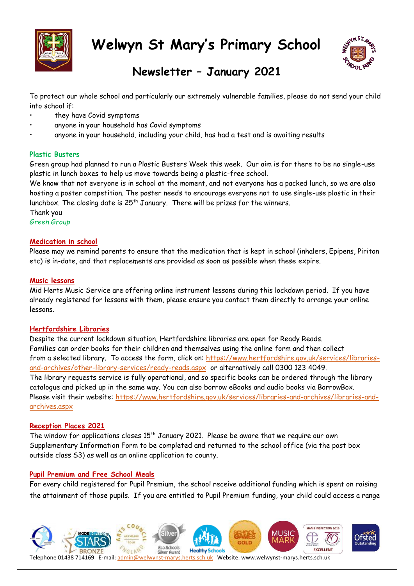



## **Newsletter – January 2021**

To protect our whole school and particularly our extremely vulnerable families, please do not send your child into school if:

- they have Covid symptoms
- anyone in your household has Covid symptoms
- anyone in your household, including your child, has had a test and is awaiting results

#### **Plastic Busters**

Green group had planned to run a Plastic Busters Week this week. Our aim is for there to be no single-use plastic in lunch boxes to help us move towards being a plastic-free school.

We know that not everyone is in school at the moment, and not everyone has a packed lunch, so we are also hosting a poster competition. The poster needs to encourage everyone not to use single-use plastic in their lunchbox. The closing date is  $25<sup>th</sup>$  January. There will be prizes for the winners.

Thank you

*Green Group*

#### **Medication in school**

Please may we remind parents to ensure that the medication that is kept in school (inhalers, Epipens, Piriton etc) is in-date, and that replacements are provided as soon as possible when these expire.

#### **Music lessons**

Mid Herts Music Service are offering online instrument lessons during this lockdown period. If you have already registered for lessons with them, please ensure you contact them directly to arrange your online lessons.

#### **Hertfordshire Libraries**

Despite the current lockdown situation, Hertfordshire libraries are open for Ready Reads. Families can order books for their children and themselves using the online form and then collect from a selected library. To access the form, click on: [https://www.hertfordshire.gov.uk/services/libraries](https://www.hertfordshire.gov.uk/services/libraries-and-archives/other-library-services/ready-reads.aspx)[and-archives/other-library-services/ready-reads.aspx](https://www.hertfordshire.gov.uk/services/libraries-and-archives/other-library-services/ready-reads.aspx) or alternatively call 0300 123 4049. The library requests service is fully operational, and so specific books can be ordered through the library catalogue and picked up in the same way. You can also borrow eBooks and audio books via BorrowBox. Please visit their website: [https://www.hertfordshire.gov.uk/services/libraries-and-archives/libraries-and](https://www.hertfordshire.gov.uk/services/libraries-and-archives/libraries-and-archives.aspx)[archives.aspx](https://www.hertfordshire.gov.uk/services/libraries-and-archives/libraries-and-archives.aspx)

#### **Reception Places 2021**

The window for applications closes  $15<sup>th</sup>$  January 2021. Please be aware that we require our own Supplementary Information Form to be completed and returned to the school office (via the post box outside class S3) as well as an online application to county.

#### **Pupil Premium and Free School Meals**

For every child registered for Pupil Premium, the school receive additional funding which is spent on raising the attainment of those pupils. If you are entitled to Pupil Premium funding, your child could access a range

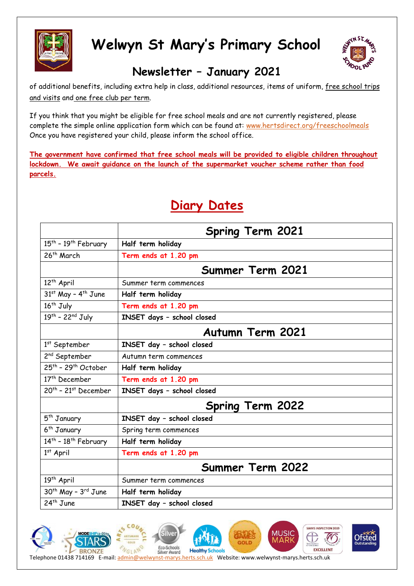



## **Newsletter – January 2021**

of additional benefits, including extra help in class, additional resources, items of uniform, free school trips and visits and one free club per term.

If you think that you might be eligible for free school meals and are not currently registered, please complete the simple online application form which can be found at: [www.hertsdirect.org/freeschoolmeals](http://www.hertsdirect.org/freeschoolmeals)  Once you have registered your child, please inform the school office.

**The government have confirmed that free school meals will be provided to eligible children throughout lockdown. We await guidance on the launch of the supermarket voucher scheme rather than food parcels.**

|                                              | <b>Spring Term 2021</b>    |  |
|----------------------------------------------|----------------------------|--|
| $15^{th}$ - $19^{th}$ February               | Half term holiday          |  |
| 26 <sup>th</sup> March                       | Term ends at 1.20 pm       |  |
|                                              | Summer Term 2021           |  |
| 12 <sup>th</sup> April                       | Summer term commences      |  |
| $31st$ May - 4 <sup>th</sup> June            | Half term holiday          |  |
| 16 <sup>th</sup> July                        | Term ends at 1.20 pm       |  |
| $19th - 22nd July$                           | INSET days - school closed |  |
|                                              | <b>Autumn Term 2021</b>    |  |
| $1st$ September                              | INSET day - school closed  |  |
| 2 <sup>nd</sup> September                    | Autumn term commences      |  |
| $25th$ - 29 <sup>th</sup> October            | Half term holiday          |  |
| 17 <sup>th</sup> December                    | Term ends at 1.20 pm       |  |
| $20th$ - 21st December                       | INSET days - school closed |  |
|                                              | <b>Spring Term 2022</b>    |  |
| 5 <sup>th</sup> January                      | INSET day - school closed  |  |
| 6 <sup>th</sup> January                      | Spring term commences      |  |
| 14 <sup>th</sup> - 18 <sup>th</sup> February | Half term holiday          |  |
| $1^{st}$ April                               | Term ends at 1.20 pm       |  |
|                                              | <b>Summer Term 2022</b>    |  |
| 19 <sup>th</sup> April                       | Summer term commences      |  |
| 30 <sup>th</sup> May - 3 <sup>rd</sup> June  | Half term holiday          |  |
| 24 <sup>th</sup> June                        | INSET day - school closed  |  |

## **Diary Dates**